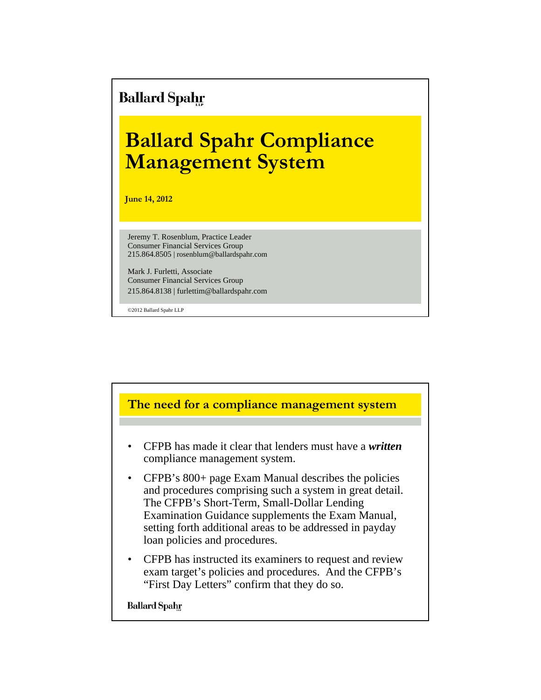# **Ballard Spahr**

# **Ballard Spahr Compliance Management System**

**June 14, 2012**

Jeremy T. Rosenblum, Practice Leader Consumer Financial Services Group 215.864.8505 | rosenblum@ballardspahr.com

Mark J. Furletti, Associate Consumer Financial Services Group 215.864.8138 | furlettim@ballardspahr.com

©2012 Ballard Spahr LLP

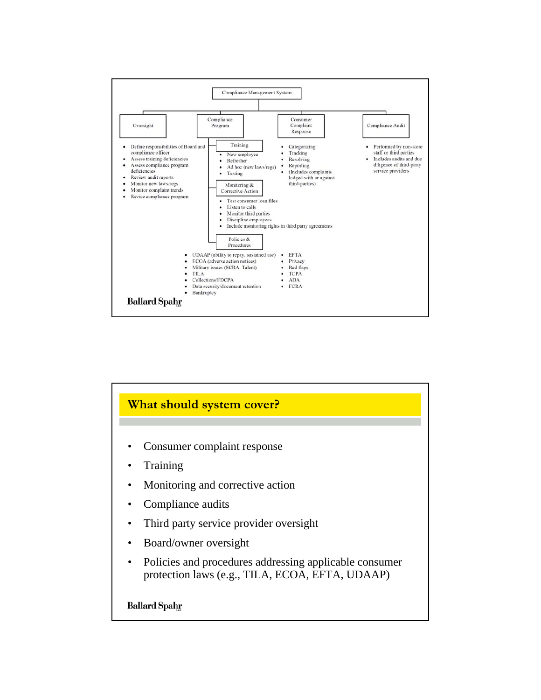

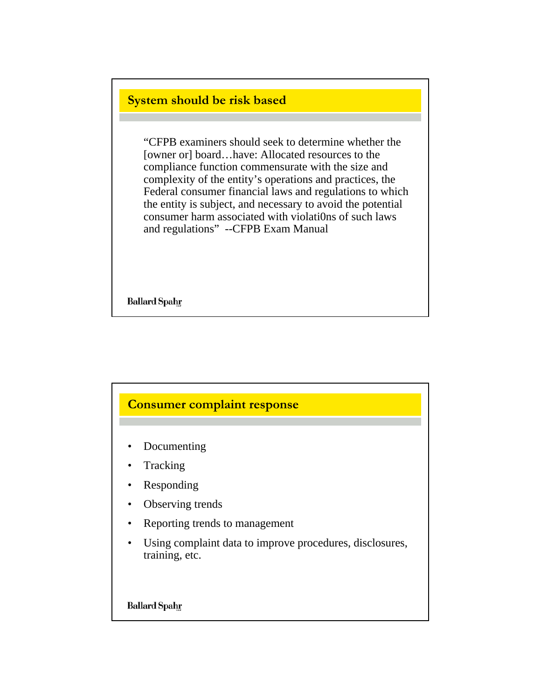#### **System should be risk based**

"CFPB examiners should seek to determine whether the [owner or] board…have: Allocated resources to the compliance function commensurate with the size and complexity of the entity's operations and practices, the Federal consumer financial laws and regulations to which the entity is subject, and necessary to avoid the potential consumer harm associated with violati0ns of such laws and regulations" --CFPB Exam Manual

**Ballard Spahr** 

### **Consumer complaint response**

- Documenting
- **Tracking**
- Responding
- Observing trends
- Reporting trends to management
- Using complaint data to improve procedures, disclosures, training, etc.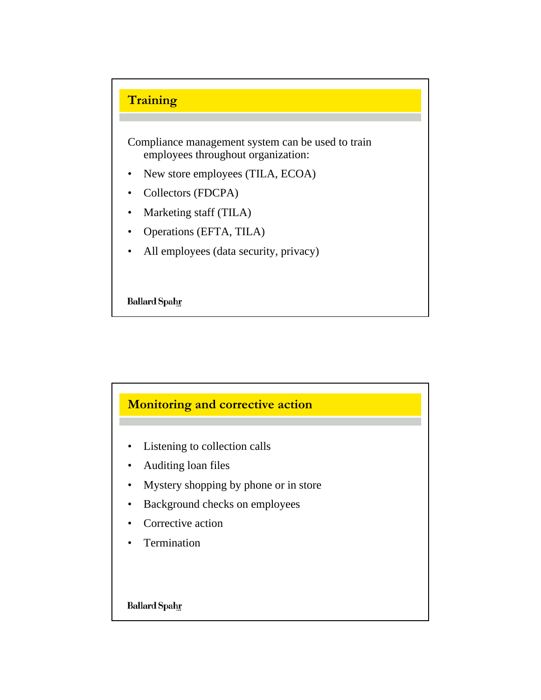

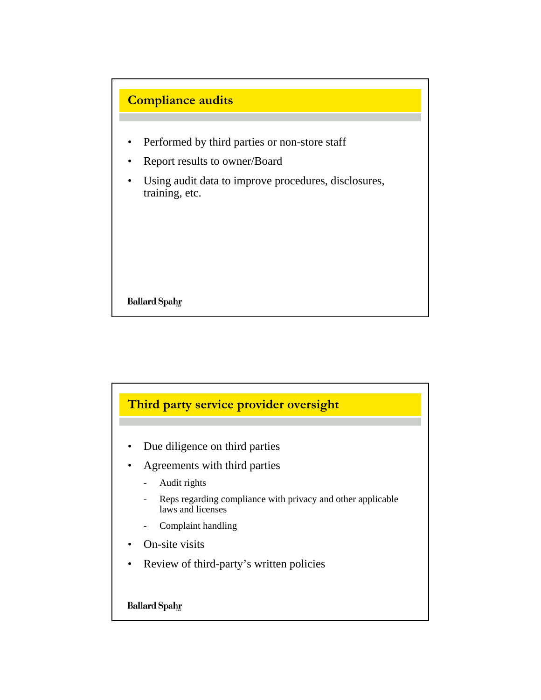

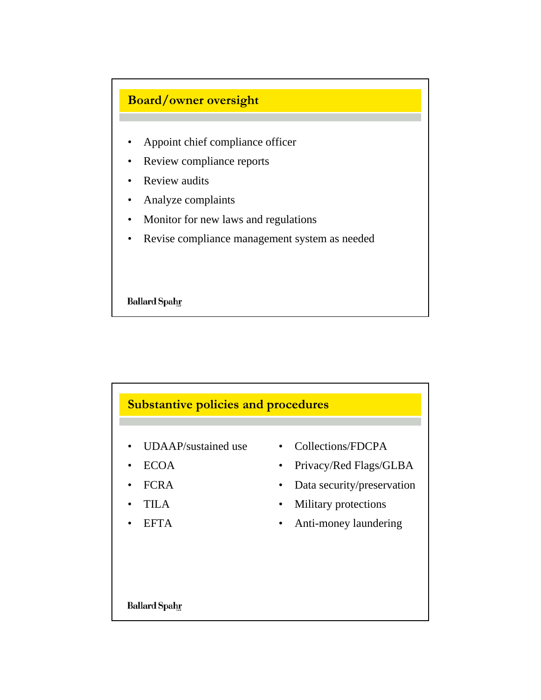

- Appoint chief compliance officer
- Review compliance reports
- Review audits
- Analyze complaints
- Monitor for new laws and regulations
- Revise compliance management system as needed

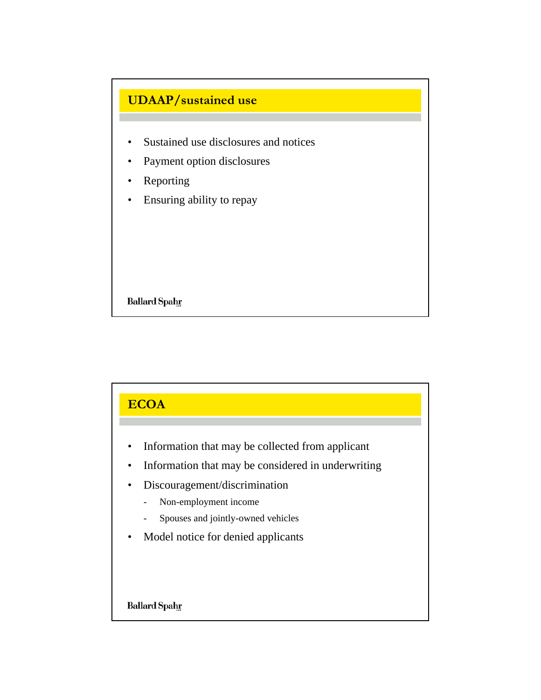

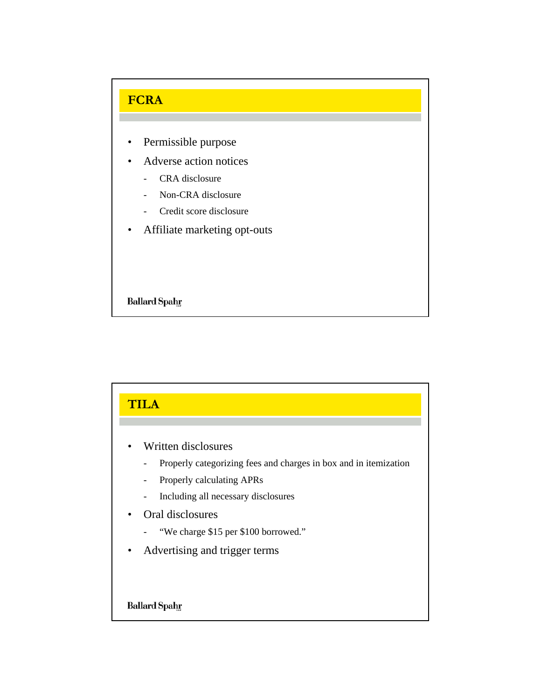

- Permissible purpose
- Adverse action notices
	- CRA disclosure
	- Non-CRA disclosure
	- Credit score disclosure
- Affiliate marketing opt-outs

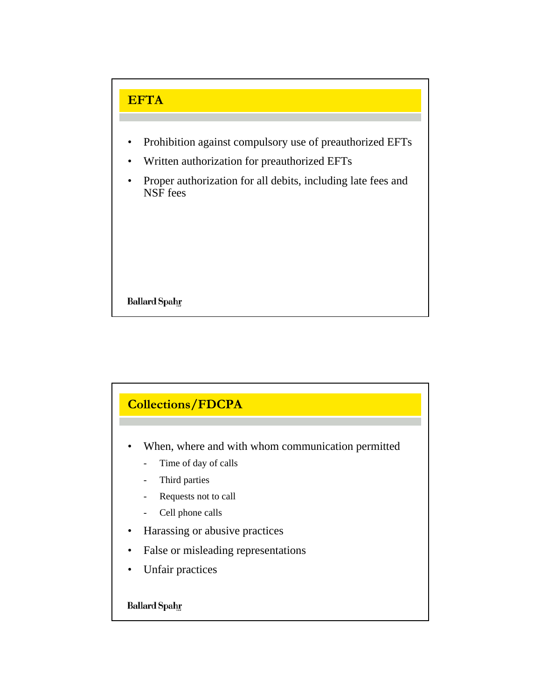# **EFTA**

- Prohibition against compulsory use of preauthorized EFTs
- Written authorization for preauthorized EFTs
- Proper authorization for all debits, including late fees and NSF fees

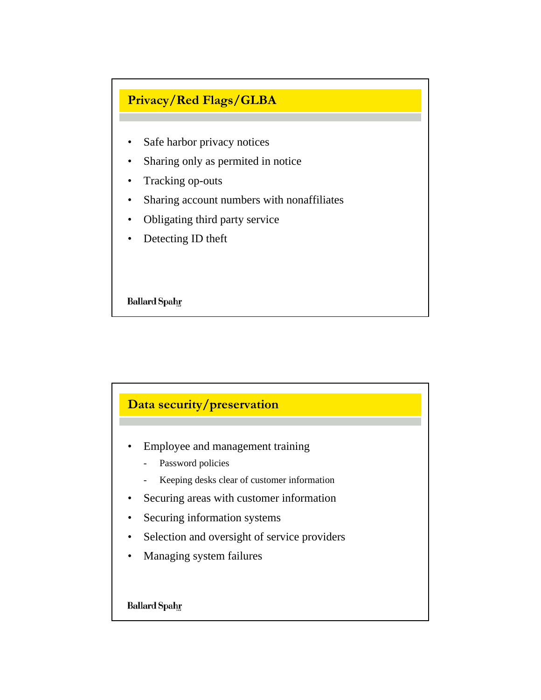## **Privacy/Red Flags/GLBA**

- Safe harbor privacy notices
- Sharing only as permited in notice
- Tracking op-outs
- Sharing account numbers with nonaffiliates
- Obligating third party service
- Detecting ID theft